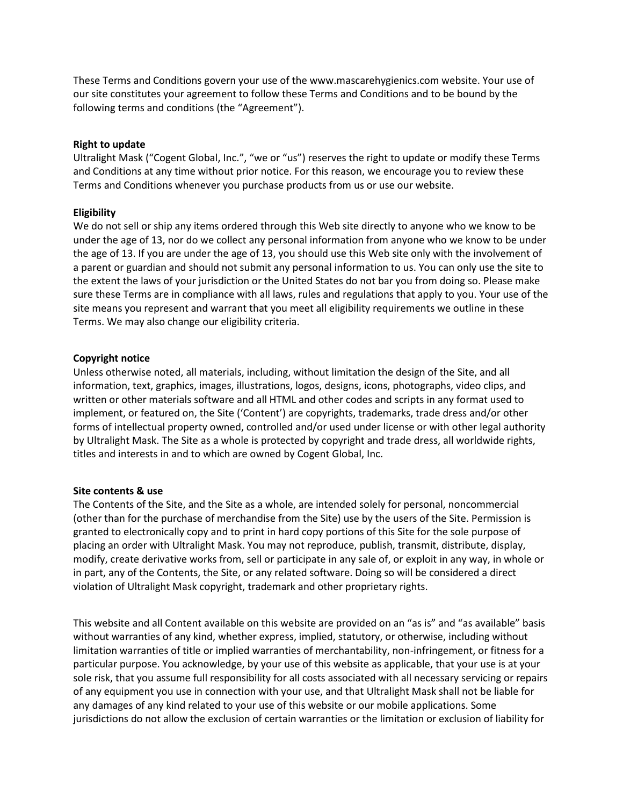These Terms and Conditions govern your use of the www.mascarehygienics.com website. Your use of our site constitutes your agreement to follow these Terms and Conditions and to be bound by the following terms and conditions (the "Agreement").

### **Right to update**

Ultralight Mask ("Cogent Global, Inc.", "we or "us") reserves the right to update or modify these Terms and Conditions at any time without prior notice. For this reason, we encourage you to review these Terms and Conditions whenever you purchase products from us or use our website.

# **Eligibility**

We do not sell or ship any items ordered through this Web site directly to anyone who we know to be under the age of 13, nor do we collect any personal information from anyone who we know to be under the age of 13. If you are under the age of 13, you should use this Web site only with the involvement of a parent or guardian and should not submit any personal information to us. You can only use the site to the extent the laws of your jurisdiction or the United States do not bar you from doing so. Please make sure these Terms are in compliance with all laws, rules and regulations that apply to you. Your use of the site means you represent and warrant that you meet all eligibility requirements we outline in these Terms. We may also change our eligibility criteria.

# **Copyright notice**

Unless otherwise noted, all materials, including, without limitation the design of the Site, and all information, text, graphics, images, illustrations, logos, designs, icons, photographs, video clips, and written or other materials software and all HTML and other codes and scripts in any format used to implement, or featured on, the Site ('Content') are copyrights, trademarks, trade dress and/or other forms of intellectual property owned, controlled and/or used under license or with other legal authority by Ultralight Mask. The Site as a whole is protected by copyright and trade dress, all worldwide rights, titles and interests in and to which are owned by Cogent Global, Inc.

### **Site contents & use**

The Contents of the Site, and the Site as a whole, are intended solely for personal, noncommercial (other than for the purchase of merchandise from the Site) use by the users of the Site. Permission is granted to electronically copy and to print in hard copy portions of this Site for the sole purpose of placing an order with Ultralight Mask. You may not reproduce, publish, transmit, distribute, display, modify, create derivative works from, sell or participate in any sale of, or exploit in any way, in whole or in part, any of the Contents, the Site, or any related software. Doing so will be considered a direct violation of Ultralight Mask copyright, trademark and other proprietary rights.

This website and all Content available on this website are provided on an "as is" and "as available" basis without warranties of any kind, whether express, implied, statutory, or otherwise, including without limitation warranties of title or implied warranties of merchantability, non-infringement, or fitness for a particular purpose. You acknowledge, by your use of this website as applicable, that your use is at your sole risk, that you assume full responsibility for all costs associated with all necessary servicing or repairs of any equipment you use in connection with your use, and that Ultralight Mask shall not be liable for any damages of any kind related to your use of this website or our mobile applications. Some jurisdictions do not allow the exclusion of certain warranties or the limitation or exclusion of liability for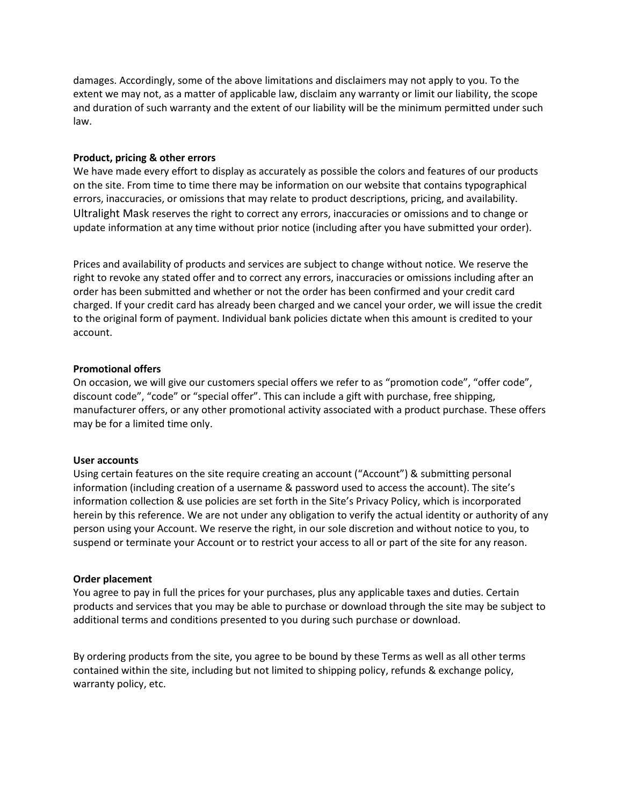damages. Accordingly, some of the above limitations and disclaimers may not apply to you. To the extent we may not, as a matter of applicable law, disclaim any warranty or limit our liability, the scope and duration of such warranty and the extent of our liability will be the minimum permitted under such law.

### **Product, pricing & other errors**

We have made every effort to display as accurately as possible the colors and features of our products on the site. From time to time there may be information on our website that contains typographical errors, inaccuracies, or omissions that may relate to product descriptions, pricing, and availability. Ultralight Mask reserves the right to correct any errors, inaccuracies or omissions and to change or update information at any time without prior notice (including after you have submitted your order).

Prices and availability of products and services are subject to change without notice. We reserve the right to revoke any stated offer and to correct any errors, inaccuracies or omissions including after an order has been submitted and whether or not the order has been confirmed and your credit card charged. If your credit card has already been charged and we cancel your order, we will issue the credit to the original form of payment. Individual bank policies dictate when this amount is credited to your account.

### **Promotional offers**

On occasion, we will give our customers special offers we refer to as "promotion code", "offer code", discount code", "code" or "special offer". This can include a gift with purchase, free shipping, manufacturer offers, or any other promotional activity associated with a product purchase. These offers may be for a limited time only.

### **User accounts**

Using certain features on the site require creating an account ("Account") & submitting personal information (including creation of a username & password used to access the account). The site's information collection & use policies are set forth in the Site's Privacy Policy, which is incorporated herein by this reference. We are not under any obligation to verify the actual identity or authority of any person using your Account. We reserve the right, in our sole discretion and without notice to you, to suspend or terminate your Account or to restrict your access to all or part of the site for any reason.

### **Order placement**

You agree to pay in full the prices for your purchases, plus any applicable taxes and duties. Certain products and services that you may be able to purchase or download through the site may be subject to additional terms and conditions presented to you during such purchase or download.

By ordering products from the site, you agree to be bound by these Terms as well as all other terms contained within the site, including but not limited to shipping policy, refunds & exchange policy, warranty policy, etc.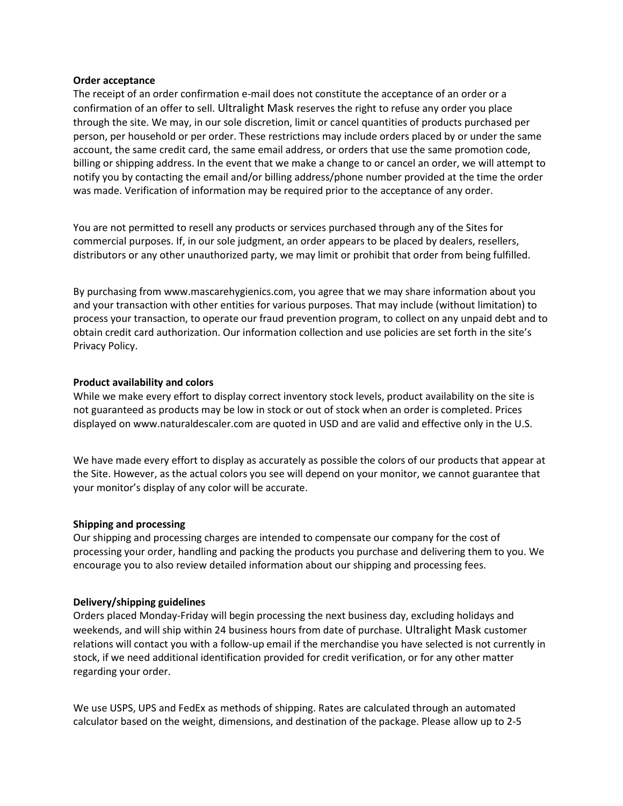#### **Order acceptance**

The receipt of an order confirmation e-mail does not constitute the acceptance of an order or a confirmation of an offer to sell. Ultralight Mask reserves the right to refuse any order you place through the site. We may, in our sole discretion, limit or cancel quantities of products purchased per person, per household or per order. These restrictions may include orders placed by or under the same account, the same credit card, the same email address, or orders that use the same promotion code, billing or shipping address. In the event that we make a change to or cancel an order, we will attempt to notify you by contacting the email and/or billing address/phone number provided at the time the order was made. Verification of information may be required prior to the acceptance of any order.

You are not permitted to resell any products or services purchased through any of the Sites for commercial purposes. If, in our sole judgment, an order appears to be placed by dealers, resellers, distributors or any other unauthorized party, we may limit or prohibit that order from being fulfilled.

By purchasing from www.mascarehygienics.com, you agree that we may share information about you and your transaction with other entities for various purposes. That may include (without limitation) to process your transaction, to operate our fraud prevention program, to collect on any unpaid debt and to obtain credit card authorization. Our information collection and use policies are set forth in the site's Privacy Policy.

### **Product availability and colors**

While we make every effort to display correct inventory stock levels, product availability on the site is not guaranteed as products may be low in stock or out of stock when an order is completed. Prices displayed on www.naturaldescaler.com are quoted in USD and are valid and effective only in the U.S.

We have made every effort to display as accurately as possible the colors of our products that appear at the Site. However, as the actual colors you see will depend on your monitor, we cannot guarantee that your monitor's display of any color will be accurate.

### **Shipping and processing**

Our shipping and processing charges are intended to compensate our company for the cost of processing your order, handling and packing the products you purchase and delivering them to you. We encourage you to also review detailed information about our shipping and processing fees.

### **Delivery/shipping guidelines**

Orders placed Monday-Friday will begin processing the next business day, excluding holidays and weekends, and will ship within 24 business hours from date of purchase. Ultralight Mask customer relations will contact you with a follow-up email if the merchandise you have selected is not currently in stock, if we need additional identification provided for credit verification, or for any other matter regarding your order.

We use USPS, UPS and FedEx as methods of shipping. Rates are calculated through an automated calculator based on the weight, dimensions, and destination of the package. Please allow up to 2-5